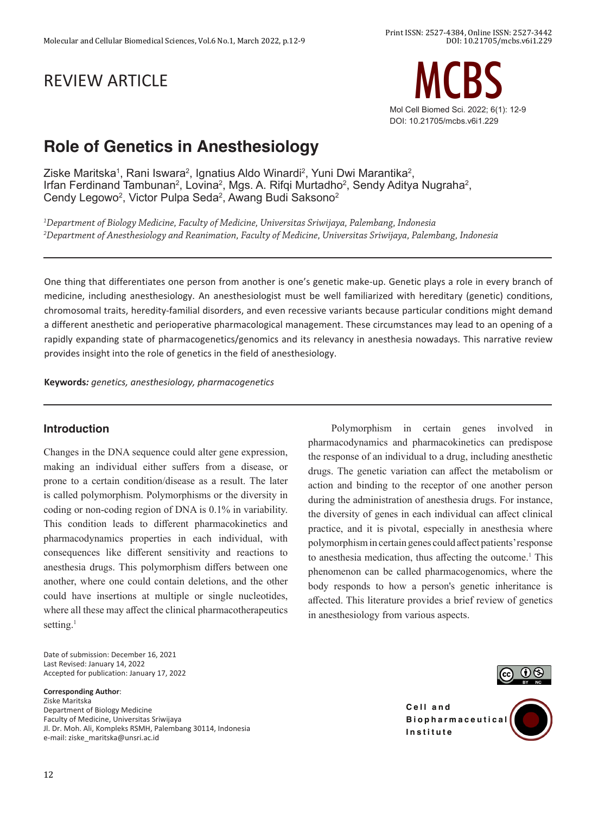# REVIEW ARTICLE



# **Role of Genetics in Anesthesiology**

Ziske Maritska $^{\rm 1}$ , Rani Iswara $^{\rm 2}$ , Ignatius Aldo Winardi $^{\rm 2}$ , Yuni Dwi Marantika $^{\rm 2}$ , Irfan Ferdinand Tambunan<sup>2</sup>, Lovina<sup>2</sup>, Mgs. A. Rifqi Murtadho<sup>2</sup>, Sendy Aditya Nugraha<sup>2</sup>, Cendy Legowo<sup>2</sup>, Victor Pulpa Seda<sup>2</sup>, Awang Budi Saksono<sup>2</sup>

*1 Department of Biology Medicine, Faculty of Medicine, Universitas Sriwijaya, Palembang, Indonesia 2 Department of Anesthesiology and Reanimation, Faculty of Medicine, Universitas Sriwijaya, Palembang, Indonesia*

One thing that differentiates one person from another is one's genetic make-up. Genetic plays a role in every branch of medicine, including anesthesiology. An anesthesiologist must be well familiarized with hereditary (genetic) conditions, chromosomal traits, heredity-familial disorders, and even recessive variants because particular conditions might demand a different anesthetic and perioperative pharmacological management. These circumstances may lead to an opening of a rapidly expanding state of pharmacogenetics/genomics and its relevancy in anesthesia nowadays. This narrative review provides insight into the role of genetics in the field of anesthesiology.

**Keywords***: genetics, anesthesiology, pharmacogenetics*

#### **Introduction**

Changes in the DNA sequence could alter gene expression, making an individual either suffers from a disease, or prone to a certain condition/disease as a result. The later is called polymorphism. Polymorphisms or the diversity in coding or non-coding region of DNA is 0.1% in variability. This condition leads to different pharmacokinetics and pharmacodynamics properties in each individual, with consequences like different sensitivity and reactions to anesthesia drugs. This polymorphism differs between one another, where one could contain deletions, and the other could have insertions at multiple or single nucleotides, where all these may affect the clinical pharmacotherapeutics setting. $<sup>1</sup>$ </sup>

Date of submission: December 16, 2021 Last Revised: January 14, 2022 Accepted for publication: January 17, 2022

#### **Corresponding Author**:

Ziske Maritska Department of Biology Medicine Faculty of Medicine, Universitas Sriwijaya Jl. Dr. Moh. Ali, Kompleks RSMH, Palembang 30114, Indonesia e-mail: ziske\_maritska@unsri.ac.id

Polymorphism in certain genes involved in pharmacodynamics and pharmacokinetics can predispose the response of an individual to a drug, including anesthetic drugs. The genetic variation can affect the metabolism or action and binding to the receptor of one another person during the administration of anesthesia drugs. For instance, the diversity of genes in each individual can affect clinical practice, and it is pivotal, especially in anesthesia where polymorphism in certain genes could affect patients' response to anesthesia medication, thus affecting the outcome.<sup>1</sup> This phenomenon can be called pharmacogenomics, where the body responds to how a person's genetic inheritance is affected. This literature provides a brief review of genetics in anesthesiology from various aspects.



**Cell** and **B i o p h a r m a c e u t i c a l Institute**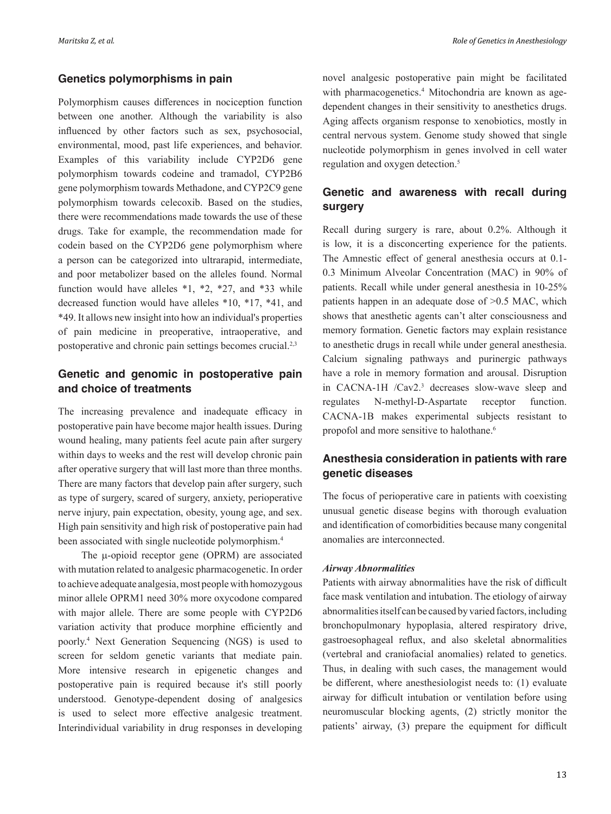#### **Genetics polymorphisms in pain**

Polymorphism causes differences in nociception function between one another. Although the variability is also influenced by other factors such as sex, psychosocial, environmental, mood, past life experiences, and behavior. Examples of this variability include CYP2D6 gene polymorphism towards codeine and tramadol, CYP2B6 gene polymorphism towards Methadone, and CYP2C9 gene polymorphism towards celecoxib. Based on the studies, there were recommendations made towards the use of these drugs. Take for example, the recommendation made for codein based on the CYP2D6 gene polymorphism where a person can be categorized into ultrarapid, intermediate, and poor metabolizer based on the alleles found. Normal function would have alleles \*1, \*2, \*27, and \*33 while decreased function would have alleles \*10, \*17, \*41, and \*49. It allows new insight into how an individual's properties of pain medicine in preoperative, intraoperative, and postoperative and chronic pain settings becomes crucial.<sup>2,3</sup>

## **Genetic and genomic in postoperative pain and choice of treatments**

The increasing prevalence and inadequate efficacy in postoperative pain have become major health issues. During wound healing, many patients feel acute pain after surgery within days to weeks and the rest will develop chronic pain after operative surgery that will last more than three months. There are many factors that develop pain after surgery, such as type of surgery, scared of surgery, anxiety, perioperative nerve injury, pain expectation, obesity, young age, and sex. High pain sensitivity and high risk of postoperative pain had been associated with single nucleotide polymorphism.<sup>4</sup>

The  $\mu$ -opioid receptor gene (OPRM) are associated with mutation related to analgesic pharmacogenetic. In order to achieve adequate analgesia, most people with homozygous minor allele OPRM1 need 30% more oxycodone compared with major allele. There are some people with CYP2D6 variation activity that produce morphine efficiently and poorly.<sup>4</sup> Next Generation Sequencing (NGS) is used to screen for seldom genetic variants that mediate pain. More intensive research in epigenetic changes and postoperative pain is required because it's still poorly understood. Genotype-dependent dosing of analgesics is used to select more effective analgesic treatment. Interindividual variability in drug responses in developing

novel analgesic postoperative pain might be facilitated with pharmacogenetics.<sup>4</sup> Mitochondria are known as agedependent changes in their sensitivity to anesthetics drugs. Aging affects organism response to xenobiotics, mostly in central nervous system. Genome study showed that single nucleotide polymorphism in genes involved in cell water regulation and oxygen detection.5

## **Genetic and awareness with recall during surgery**

Recall during surgery is rare, about 0.2%. Although it is low, it is a disconcerting experience for the patients. The Amnestic effect of general anesthesia occurs at 0.1- 0.3 Minimum Alveolar Concentration (MAC) in 90% of patients. Recall while under general anesthesia in 10-25% patients happen in an adequate dose of >0.5 MAC, which shows that anesthetic agents can't alter consciousness and memory formation. Genetic factors may explain resistance to anesthetic drugs in recall while under general anesthesia. Calcium signaling pathways and purinergic pathways have a role in memory formation and arousal. Disruption in CACNA-1H /Cav2.<sup>3</sup> decreases slow-wave sleep and regulates N-methyl-D-Aspartate receptor function. CACNA-1B makes experimental subjects resistant to propofol and more sensitive to halothane.<sup>6</sup>

## **Anesthesia consideration in patients with rare genetic diseases**

The focus of perioperative care in patients with coexisting unusual genetic disease begins with thorough evaluation and identification of comorbidities because many congenital anomalies are interconnected.

#### *Airway Abnormalities*

Patients with airway abnormalities have the risk of difficult face mask ventilation and intubation. The etiology of airway abnormalities itself can be caused by varied factors, including bronchopulmonary hypoplasia, altered respiratory drive, gastroesophageal reflux, and also skeletal abnormalities (vertebral and craniofacial anomalies) related to genetics. Thus, in dealing with such cases, the management would be different, where anesthesiologist needs to: (1) evaluate airway for difficult intubation or ventilation before using neuromuscular blocking agents, (2) strictly monitor the patients' airway, (3) prepare the equipment for difficult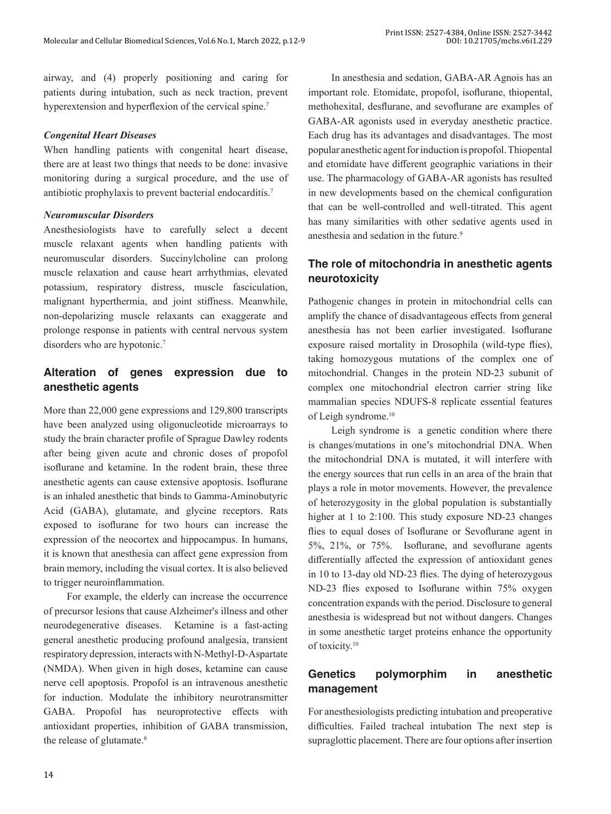airway, and (4) properly positioning and caring for patients during intubation, such as neck traction, prevent hyperextension and hyperflexion of the cervical spine.<sup>7</sup>

#### *Congenital Heart Diseases*

When handling patients with congenital heart disease, there are at least two things that needs to be done: invasive monitoring during a surgical procedure, and the use of antibiotic prophylaxis to prevent bacterial endocarditis.7

## *Neuromuscular Disorders*

Anesthesiologists have to carefully select a decent muscle relaxant agents when handling patients with neuromuscular disorders. Succinylcholine can prolong muscle relaxation and cause heart arrhythmias, elevated potassium, respiratory distress, muscle fasciculation, malignant hyperthermia, and joint stiffness. Meanwhile, non-depolarizing muscle relaxants can exaggerate and prolonge response in patients with central nervous system disorders who are hypotonic.<sup>7</sup>

## **Alteration of genes expression due to anesthetic agents**

More than 22,000 gene expressions and 129,800 transcripts have been analyzed using oligonucleotide microarrays to study the brain character profile of Sprague Dawley rodents after being given acute and chronic doses of propofol isoflurane and ketamine. In the rodent brain, these three anesthetic agents can cause extensive apoptosis. Isoflurane is an inhaled anesthetic that binds to Gamma-Aminobutyric Acid (GABA), glutamate, and glycine receptors. Rats exposed to isoflurane for two hours can increase the expression of the neocortex and hippocampus. In humans, it is known that anesthesia can affect gene expression from brain memory, including the visual cortex. It is also believed to trigger neuroinflammation.

For example, the elderly can increase the occurrence of precursor lesions that cause Alzheimer's illness and other neurodegenerative diseases. Ketamine is a fast-acting general anesthetic producing profound analgesia, transient respiratory depression, interacts with N-Methyl-D-Aspartate (NMDA). When given in high doses, ketamine can cause nerve cell apoptosis. Propofol is an intravenous anesthetic for induction. Modulate the inhibitory neurotransmitter GABA. Propofol has neuroprotective effects with antioxidant properties, inhibition of GABA transmission, the release of glutamate.<sup>8</sup>

In anesthesia and sedation, GABA-AR Agnois has an important role. Etomidate, propofol, isoflurane, thiopental, methohexital, desflurane, and sevoflurane are examples of GABA-AR agonists used in everyday anesthetic practice. Each drug has its advantages and disadvantages. The most popular anesthetic agent for induction is propofol. Thiopental and etomidate have different geographic variations in their use. The pharmacology of GABA-AR agonists has resulted in new developments based on the chemical configuration that can be well-controlled and well-titrated. This agent has many similarities with other sedative agents used in anesthesia and sedation in the future.<sup>9</sup>

## **The role of mitochondria in anesthetic agents neurotoxicity**

Pathogenic changes in protein in mitochondrial cells can amplify the chance of disadvantageous effects from general anesthesia has not been earlier investigated. Isoflurane exposure raised mortality in Drosophila (wild-type flies), taking homozygous mutations of the complex one of mitochondrial. Changes in the protein ND-23 subunit of complex one mitochondrial electron carrier string like mammalian species NDUFS-8 replicate essential features of Leigh syndrome.10

Leigh syndrome is a genetic condition where there is changes/mutations in one's mitochondrial DNA. When the mitochondrial DNA is mutated, it will interfere with the energy sources that run cells in an area of the brain that plays a role in motor movements. However, the prevalence of heterozygosity in the global population is substantially higher at 1 to 2:100. This study exposure ND-23 changes flies to equal doses of Isoflurane or Sevoflurane agent in 5%, 21%, or 75%. Isoflurane, and sevoflurane agents differentially affected the expression of antioxidant genes in 10 to 13-day old ND-23 flies. The dying of heterozygous ND-23 flies exposed to Isoflurane within 75% oxygen concentration expands with the period. Disclosure to general anesthesia is widespread but not without dangers. Changes in some anesthetic target proteins enhance the opportunity of toxicity.10

## **Genetics polymorphim in anesthetic management**

For anesthesiologists predicting intubation and preoperative difficulties. Failed tracheal intubation The next step is supraglottic placement. There are four options after insertion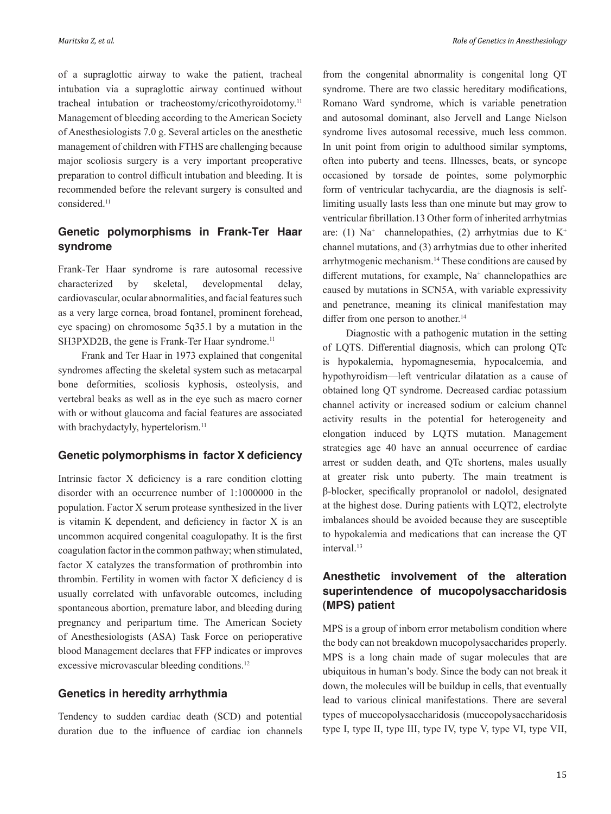*Maritska Z, et al. Role of Genetics in Anesthesiology*

of a supraglottic airway to wake the patient, tracheal intubation via a supraglottic airway continued without tracheal intubation or tracheostomy/cricothyroidotomy.11 Management of bleeding according to the American Society of Anesthesiologists 7.0 g. Several articles on the anesthetic management of children with FTHS are challenging because major scoliosis surgery is a very important preoperative preparation to control difficult intubation and bleeding. It is recommended before the relevant surgery is consulted and considered.<sup>11</sup>

## **Genetic polymorphisms in Frank-Ter Haar syndrome**

Frank-Ter Haar syndrome is rare autosomal recessive characterized by skeletal, developmental delay, cardiovascular, ocular abnormalities, and facial features such as a very large cornea, broad fontanel, prominent forehead, eye spacing) on chromosome 5q35.1 by a mutation in the SH3PXD2B, the gene is Frank-Ter Haar syndrome.<sup>11</sup>

Frank and Ter Haar in 1973 explained that congenital syndromes affecting the skeletal system such as metacarpal bone deformities, scoliosis kyphosis, osteolysis, and vertebral beaks as well as in the eye such as macro corner with or without glaucoma and facial features are associated with brachydactyly, hypertelorism.<sup>11</sup>

#### **Genetic polymorphisms in factor X deficiency**

Intrinsic factor X deficiency is a rare condition clotting disorder with an occurrence number of 1:1000000 in the population. Factor X serum protease synthesized in the liver is vitamin K dependent, and deficiency in factor X is an uncommon acquired congenital coagulopathy. It is the first coagulation factor in the common pathway; when stimulated, factor X catalyzes the transformation of prothrombin into thrombin. Fertility in women with factor X deficiency d is usually correlated with unfavorable outcomes, including spontaneous abortion, premature labor, and bleeding during pregnancy and peripartum time. The American Society of Anesthesiologists (ASA) Task Force on perioperative blood Management declares that FFP indicates or improves excessive microvascular bleeding conditions.<sup>12</sup>

#### **Genetics in heredity arrhythmia**

Tendency to sudden cardiac death (SCD) and potential duration due to the influence of cardiac ion channels

from the congenital abnormality is congenital long QT syndrome. There are two classic hereditary modifications, Romano Ward syndrome, which is variable penetration and autosomal dominant, also Jervell and Lange Nielson syndrome lives autosomal recessive, much less common. In unit point from origin to adulthood similar symptoms, often into puberty and teens. Illnesses, beats, or syncope occasioned by torsade de pointes, some polymorphic form of ventricular tachycardia, are the diagnosis is selflimiting usually lasts less than one minute but may grow to ventricular fibrillation.13 Other form of inherited arrhytmias are: (1)  $Na^+$  channelopathies, (2) arrhytmias due to  $K^+$ channel mutations, and (3) arrhytmias due to other inherited arrhytmogenic mechanism.14 These conditions are caused by different mutations, for example, Na<sup>+</sup> channelopathies are caused by mutations in SCN5A, with variable expressivity and penetrance, meaning its clinical manifestation may differ from one person to another.<sup>14</sup>

Diagnostic with a pathogenic mutation in the setting of LQTS. Differential diagnosis, which can prolong QTc is hypokalemia, hypomagnesemia, hypocalcemia, and hypothyroidism—left ventricular dilatation as a cause of obtained long QT syndrome. Decreased cardiac potassium channel activity or increased sodium or calcium channel activity results in the potential for heterogeneity and elongation induced by LQTS mutation. Management strategies age 40 have an annual occurrence of cardiac arrest or sudden death, and QTc shortens, males usually at greater risk unto puberty. The main treatment is β-blocker, specifically propranolol or nadolol, designated at the highest dose. During patients with LQT2, electrolyte imbalances should be avoided because they are susceptible to hypokalemia and medications that can increase the QT interval.<sup>13</sup>

## **Anesthetic involvement of the alteration superintendence of mucopolysaccharidosis (MPS) patient**

MPS is a group of inborn error metabolism condition where the body can not breakdown mucopolysaccharides properly. MPS is a long chain made of sugar molecules that are ubiquitous in human's body. Since the body can not break it down, the molecules will be buildup in cells, that eventually lead to various clinical manifestations. There are several types of muccopolysaccharidosis (muccopolysaccharidosis type I, type II, type III, type IV, type V, type VI, type VII,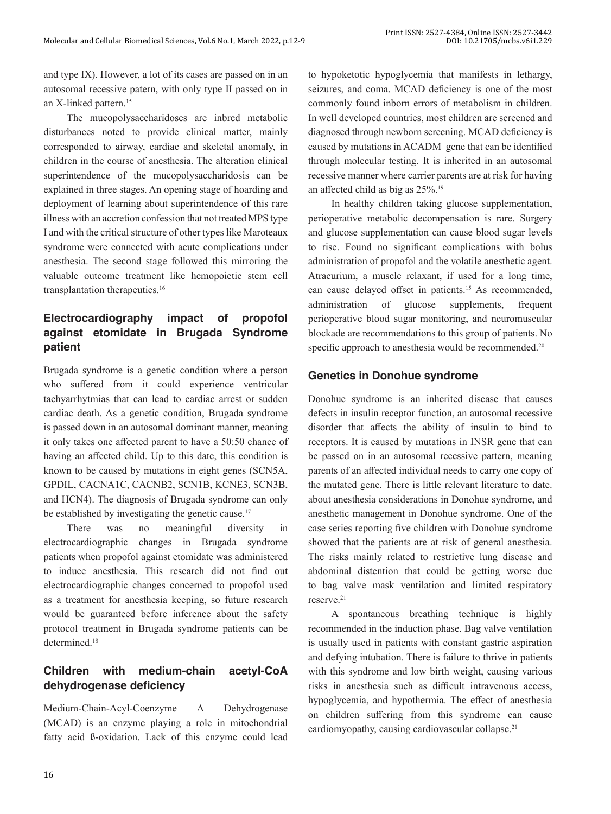and type IX). However, a lot of its cases are passed on in an autosomal recessive patern, with only type II passed on in an X-linked pattern.<sup>15</sup>

The mucopolysaccharidoses are inbred metabolic disturbances noted to provide clinical matter, mainly corresponded to airway, cardiac and skeletal anomaly, in children in the course of anesthesia. The alteration clinical superintendence of the mucopolysaccharidosis can be explained in three stages. An opening stage of hoarding and deployment of learning about superintendence of this rare illness with an accretion confession that not treated MPS type I and with the critical structure of other types like Maroteaux syndrome were connected with acute complications under anesthesia. The second stage followed this mirroring the valuable outcome treatment like hemopoietic stem cell transplantation therapeutics.<sup>16</sup>

## **Electrocardiography impact of propofol against etomidate in Brugada Syndrome patient**

Brugada syndrome is a genetic condition where a person who suffered from it could experience ventricular tachyarrhytmias that can lead to cardiac arrest or sudden cardiac death. As a genetic condition, Brugada syndrome is passed down in an autosomal dominant manner, meaning it only takes one affected parent to have a 50:50 chance of having an affected child. Up to this date, this condition is known to be caused by mutations in eight genes (SCN5A, GPDIL, CACNA1C, CACNB2, SCN1B, KCNE3, SCN3B, and HCN4). The diagnosis of Brugada syndrome can only be established by investigating the genetic cause.<sup>17</sup>

There was no meaningful diversity in electrocardiographic changes in Brugada syndrome patients when propofol against etomidate was administered to induce anesthesia. This research did not find out electrocardiographic changes concerned to propofol used as a treatment for anesthesia keeping, so future research would be guaranteed before inference about the safety protocol treatment in Brugada syndrome patients can be determined.<sup>18</sup>

# **Children with medium-chain acetyl-CoA dehydrogenase deficiency**

Medium-Chain-Acyl-Coenzyme A Dehydrogenase (MCAD) is an enzyme playing a role in mitochondrial fatty acid ß-oxidation. Lack of this enzyme could lead

to hypoketotic hypoglycemia that manifests in lethargy, seizures, and coma. MCAD deficiency is one of the most commonly found inborn errors of metabolism in children. In well developed countries, most children are screened and diagnosed through newborn screening. MCAD deficiency is caused by mutations in ACADM gene that can be identified through molecular testing. It is inherited in an autosomal recessive manner where carrier parents are at risk for having an affected child as big as 25%.19

In healthy children taking glucose supplementation, perioperative metabolic decompensation is rare. Surgery and glucose supplementation can cause blood sugar levels to rise. Found no significant complications with bolus administration of propofol and the volatile anesthetic agent. Atracurium, a muscle relaxant, if used for a long time, can cause delayed offset in patients.15 As recommended, administration of glucose supplements, frequent perioperative blood sugar monitoring, and neuromuscular blockade are recommendations to this group of patients. No specific approach to anesthesia would be recommended.<sup>20</sup>

## **Genetics in Donohue syndrome**

Donohue syndrome is an inherited disease that causes defects in insulin receptor function, an autosomal recessive disorder that affects the ability of insulin to bind to receptors. It is caused by mutations in INSR gene that can be passed on in an autosomal recessive pattern, meaning parents of an affected individual needs to carry one copy of the mutated gene. There is little relevant literature to date. about anesthesia considerations in Donohue syndrome, and anesthetic management in Donohue syndrome. One of the case series reporting five children with Donohue syndrome showed that the patients are at risk of general anesthesia. The risks mainly related to restrictive lung disease and abdominal distention that could be getting worse due to bag valve mask ventilation and limited respiratory reserve.<sup>21</sup>

A spontaneous breathing technique is highly recommended in the induction phase. Bag valve ventilation is usually used in patients with constant gastric aspiration and defying intubation. There is failure to thrive in patients with this syndrome and low birth weight, causing various risks in anesthesia such as difficult intravenous access, hypoglycemia, and hypothermia. The effect of anesthesia on children suffering from this syndrome can cause cardiomyopathy, causing cardiovascular collapse.21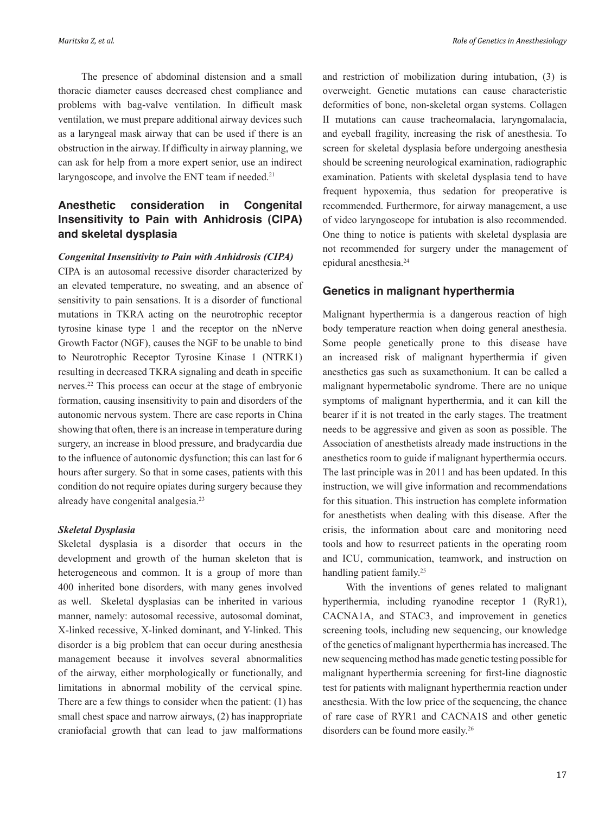The presence of abdominal distension and a small thoracic diameter causes decreased chest compliance and problems with bag-valve ventilation. In difficult mask ventilation, we must prepare additional airway devices such as a laryngeal mask airway that can be used if there is an obstruction in the airway. If difficulty in airway planning, we can ask for help from a more expert senior, use an indirect laryngoscope, and involve the ENT team if needed.<sup>21</sup>

## **Anesthetic consideration in Congenital Insensitivity to Pain with Anhidrosis (CIPA) and skeletal dysplasia**

#### *Congenital Insensitivity to Pain with Anhidrosis (CIPA)*

CIPA is an autosomal recessive disorder characterized by an elevated temperature, no sweating, and an absence of sensitivity to pain sensations. It is a disorder of functional mutations in TKRA acting on the neurotrophic receptor tyrosine kinase type 1 and the receptor on the nNerve Growth Factor (NGF), causes the NGF to be unable to bind to Neurotrophic Receptor Tyrosine Kinase 1 (NTRK1) resulting in decreased TKRA signaling and death in specific nerves.22 This process can occur at the stage of embryonic formation, causing insensitivity to pain and disorders of the autonomic nervous system. There are case reports in China showing that often, there is an increase in temperature during surgery, an increase in blood pressure, and bradycardia due to the influence of autonomic dysfunction; this can last for 6 hours after surgery. So that in some cases, patients with this condition do not require opiates during surgery because they already have congenital analgesia.<sup>23</sup>

#### *Skeletal Dysplasia*

Skeletal dysplasia is a disorder that occurs in the development and growth of the human skeleton that is heterogeneous and common. It is a group of more than 400 inherited bone disorders, with many genes involved as well. Skeletal dysplasias can be inherited in various manner, namely: autosomal recessive, autosomal dominat, X-linked recessive, X-linked dominant, and Y-linked. This disorder is a big problem that can occur during anesthesia management because it involves several abnormalities of the airway, either morphologically or functionally, and limitations in abnormal mobility of the cervical spine. There are a few things to consider when the patient: (1) has small chest space and narrow airways, (2) has inappropriate craniofacial growth that can lead to jaw malformations and restriction of mobilization during intubation, (3) is overweight. Genetic mutations can cause characteristic deformities of bone, non-skeletal organ systems. Collagen II mutations can cause tracheomalacia, laryngomalacia, and eyeball fragility, increasing the risk of anesthesia. To screen for skeletal dysplasia before undergoing anesthesia should be screening neurological examination, radiographic examination. Patients with skeletal dysplasia tend to have frequent hypoxemia, thus sedation for preoperative is recommended. Furthermore, for airway management, a use of video laryngoscope for intubation is also recommended. One thing to notice is patients with skeletal dysplasia are not recommended for surgery under the management of epidural anesthesia.<sup>24</sup>

#### **Genetics in malignant hyperthermia**

Malignant hyperthermia is a dangerous reaction of high body temperature reaction when doing general anesthesia. Some people genetically prone to this disease have an increased risk of malignant hyperthermia if given anesthetics gas such as suxamethonium. It can be called a malignant hypermetabolic syndrome. There are no unique symptoms of malignant hyperthermia, and it can kill the bearer if it is not treated in the early stages. The treatment needs to be aggressive and given as soon as possible. The Association of anesthetists already made instructions in the anesthetics room to guide if malignant hyperthermia occurs. The last principle was in 2011 and has been updated. In this instruction, we will give information and recommendations for this situation. This instruction has complete information for anesthetists when dealing with this disease. After the crisis, the information about care and monitoring need tools and how to resurrect patients in the operating room and ICU, communication, teamwork, and instruction on handling patient family.<sup>25</sup>

With the inventions of genes related to malignant hyperthermia, including ryanodine receptor 1 (RyR1), CACNA1A, and STAC3, and improvement in genetics screening tools, including new sequencing, our knowledge of the genetics of malignant hyperthermia has increased. The new sequencing method has made genetic testing possible for malignant hyperthermia screening for first-line diagnostic test for patients with malignant hyperthermia reaction under anesthesia. With the low price of the sequencing, the chance of rare case of RYR1 and CACNA1S and other genetic disorders can be found more easily.<sup>26</sup>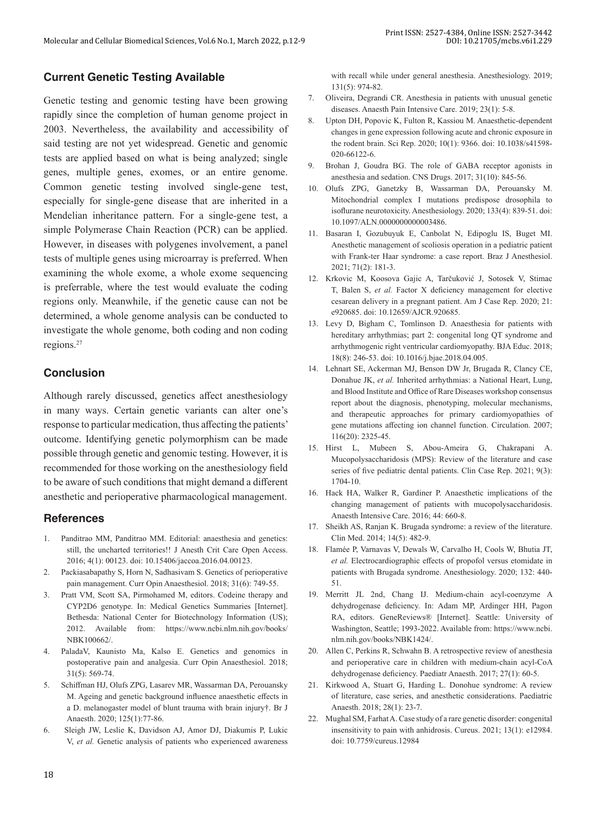## **Current Genetic Testing Available**

Genetic testing and genomic testing have been growing rapidly since the completion of human genome project in 2003. Nevertheless, the availability and accessibility of said testing are not yet widespread. Genetic and genomic tests are applied based on what is being analyzed; single genes, multiple genes, exomes, or an entire genome. Common genetic testing involved single-gene test, especially for single-gene disease that are inherited in a Mendelian inheritance pattern. For a single-gene test, a simple Polymerase Chain Reaction (PCR) can be applied. However, in diseases with polygenes involvement, a panel tests of multiple genes using microarray is preferred. When examining the whole exome, a whole exome sequencing is preferrable, where the test would evaluate the coding regions only. Meanwhile, if the genetic cause can not be determined, a whole genome analysis can be conducted to investigate the whole genome, both coding and non coding regions.<sup>27</sup>

## **Conclusion**

Although rarely discussed, genetics affect anesthesiology in many ways. Certain genetic variants can alter one's response to particular medication, thus affecting the patients' outcome. Identifying genetic polymorphism can be made possible through genetic and genomic testing. However, it is recommended for those working on the anesthesiology field to be aware of such conditions that might demand a different anesthetic and perioperative pharmacological management.

#### **References**

- 1. Panditrao MM, Panditrao MM. Editorial: anaesthesia and genetics: still, the uncharted territories!! J Anesth Crit Care Open Access. 2016; 4(1): 00123. doi: 10.15406/jaccoa.2016.04.00123.
- 2. Packiasabapathy S, Horn N, Sadhasivam S. Genetics of perioperative pain management. Curr Opin Anaesthesiol. 2018; 31(6): 749-55.
- 3. Pratt VM, Scott SA, Pirmohamed M, editors. Codeine therapy and CYP2D6 genotype. In: Medical Genetics Summaries [Internet]. Bethesda: National Center for Biotechnology Information (US); 2012. Available from: https://www.ncbi.nlm.nih.gov/books/ NBK100662/.
- 4. PaladaV, Kaunisto Ma, Kalso E. Genetics and genomics in postoperative pain and analgesia. Curr Opin Anaesthesiol. 2018; 31(5): 569-74.
- 5. Schiffman HJ, Olufs ZPG, Lasarev MR, Wassarman DA, Perouansky M. Ageing and genetic background influence anaesthetic effects in a D. melanogaster model of blunt trauma with brain injury†. Br J Anaesth. 2020; 125(1):77-86.
- 6. Sleigh JW, Leslie K, Davidson AJ, Amor DJ, Diakumis P, Lukic V, *et al.* Genetic analysis of patients who experienced awareness

with recall while under general anesthesia. Anesthesiology. 2019; 131(5): 974-82.

- 7. Oliveira, Degrandi CR. Anesthesia in patients with unusual genetic diseases. Anaesth Pain Intensive Care. 2019; 23(1): 5-8.
- 8. Upton DH, Popovic K, Fulton R, Kassiou M. Anaesthetic-dependent changes in gene expression following acute and chronic exposure in the rodent brain. Sci Rep. 2020; 10(1): 9366. doi: 10.1038/s41598- 020-66122-6.
- Brohan J, Goudra BG. The role of GABA receptor agonists in anesthesia and sedation. CNS Drugs. 2017; 31(10): 845-56.
- 10. Olufs ZPG, Ganetzky B, Wassarman DA, Perouansky M. Mitochondrial complex I mutations predispose drosophila to isoflurane neurotoxicity. Anesthesiology. 2020; 133(4): 839-51. doi: 10.1097/ALN.0000000000003486.
- 11. Basaran I, Gozubuyuk E, Canbolat N, Edipoglu IS, Buget MI. Anesthetic management of scoliosis operation in a pediatric patient with Frank-ter Haar syndrome: a case report. Braz J Anesthesiol. 2021; 71(2): 181-3.
- 12. Krkovic M, Koosova Gajic A, Tarčuković J, Sotosek V, Stimac T, Balen S, *et al.* Factor X deficiency management for elective cesarean delivery in a pregnant patient. Am J Case Rep. 2020; 21: e920685. doi: 10.12659/AJCR.920685.
- 13. Levy D, Bigham C, Tomlinson D. Anaesthesia for patients with hereditary arrhythmias; part 2: congenital long QT syndrome and arrhythmogenic right ventricular cardiomyopathy. BJA Educ. 2018; 18(8): 246-53. doi: 10.1016/j.bjae.2018.04.005.
- 14. Lehnart SE, Ackerman MJ, Benson DW Jr, Brugada R, Clancy CE, Donahue JK, *et al.* Inherited arrhythmias: a National Heart, Lung, and Blood Institute and Office of Rare Diseases workshop consensus report about the diagnosis, phenotyping, molecular mechanisms, and therapeutic approaches for primary cardiomyopathies of gene mutations affecting ion channel function. Circulation. 2007; 116(20): 2325-45.
- 15. Hirst L, Mubeen S, Abou-Ameira G, Chakrapani A. Mucopolysaccharidosis (MPS): Review of the literature and case series of five pediatric dental patients. Clin Case Rep. 2021; 9(3): 1704-10.
- 16. Hack HA, Walker R, Gardiner P. Anaesthetic implications of the changing management of patients with mucopolysaccharidosis. Anaesth Intensive Care. 2016; 44: 660-8.
- 17. Sheikh AS, Ranjan K. Brugada syndrome: a review of the literature. Clin Med. 2014; 14(5): 482-9.
- 18. Flamée P, Varnavas V, Dewals W, Carvalho H, Cools W, Bhutia JT, *et al.* Electrocardiographic effects of propofol versus etomidate in patients with Brugada syndrome. Anesthesiology. 2020; 132: 440- 51.
- 19. Merritt JL 2nd, Chang IJ. Medium-chain acyl-coenzyme A dehydrogenase deficiency. In: Adam MP, Ardinger HH, Pagon RA, editors. GeneReviews® [Internet]. Seattle: University of Washington, Seattle; 1993-2022. Available from: https://www.ncbi. nlm.nih.gov/books/NBK1424/.
- 20. Allen C, Perkins R, Schwahn B. A retrospective review of anesthesia and perioperative care in children with medium-chain acyl-CoA dehydrogenase deficiency. Paediatr Anaesth. 2017; 27(1): 60-5.
- 21. Kirkwood A, Stuart G, Harding L. Donohue syndrome: A review of literature, case series, and anesthetic considerations. Paediatric Anaesth. 2018; 28(1): 23-7.
- 22. Mughal SM, Farhat A. Case study of a rare genetic disorder: congenital insensitivity to pain with anhidrosis. Cureus. 2021; 13(1): e12984. doi: 10.7759/cureus.12984